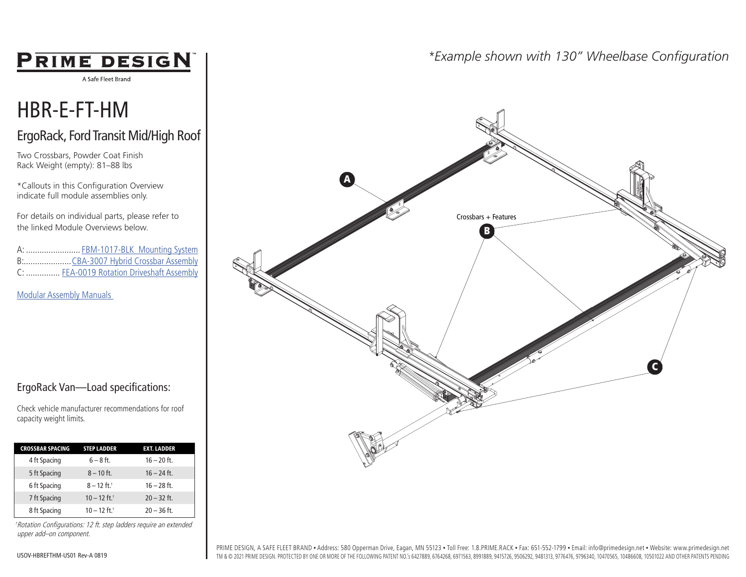## **PRIME DESIGN**

A Safe Fleet Brand

## HBR-E-FT-HM

## ErgoRack, Ford Transit Mid/High Roof

Two Crossbars, Powder Coat Finish Rack Weight (empty): 81–88 lbs

\*Callouts in this Configuration Overview indicate full module assemblies only.

For details on individual parts, please refer to the linked Module Overviews below.

A: ........................ FBM-1017-BLK Mounting System B:.....................CBA-3007 Hybrid Crossbar Assembly C: ............... FEA-0019 Rotation Driveshaft Assembly

Modular Assembly Manuals

## ErgoRack Van—Load specifications:

Check vehicle manufacturer recommendations for roof capacity weight limits.

| <b>CROSSBAR SPACING</b> | <b>STEP LADDER</b>         | <b>EXT. LADDER</b> |  |
|-------------------------|----------------------------|--------------------|--|
| 4 ft Spacing            | $6 - 8$ ft.                | $16 - 20$ ft.      |  |
| 5 ft Spacing            | $8 - 10$ ft.               | $16 - 24$ ft.      |  |
| 6 ft Spacing            | $8 - 12$ ft. <sup>+</sup>  | $16 - 28$ ft.      |  |
| 7 ft Spacing            | $10 - 12$ ft. <sup>+</sup> | $20 - 32$ ft.      |  |
| 8 ft Spacing            | $10 - 12$ ft. <sup>+</sup> | $20 - 36$ ft.      |  |

†Rotation Configurations: 12 ft. step ladders require an extended upper add–on component.

## *\*Example shown with 130" Wheelbase Configuration*

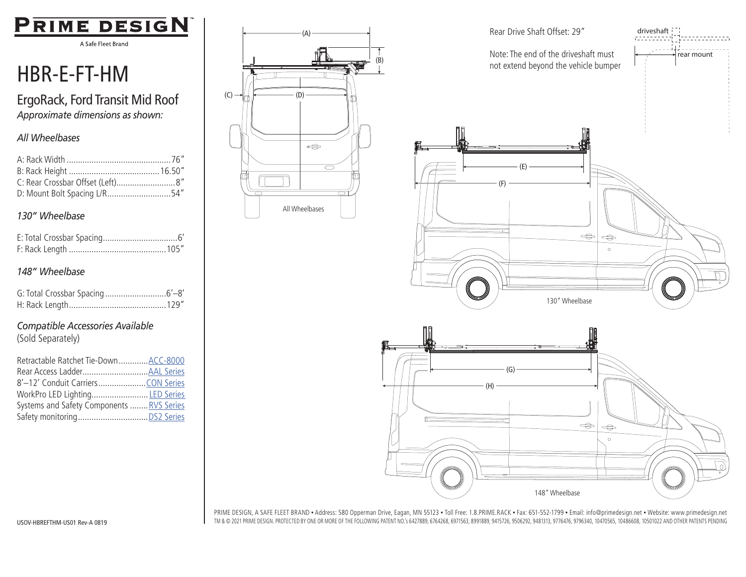

A Safe Fleet Brand

# HBR-E-FT-HM

ErgoRack, Ford Transit Mid Roof *Approximate dimensions as shown:*

### *All Wheelbases*

| C: Rear Crossbar Offset (Left)8" |  |
|----------------------------------|--|
| D: Mount Bolt Spacing L/R54"     |  |

#### *130" Wheelbase*

#### *148" Wheelbase*

## *Compatible Accessories Available*

(Sold Separately)

| Retractable Ratchet Tie-Down ACC-8000     |  |
|-------------------------------------------|--|
|                                           |  |
|                                           |  |
| WorkPro LED Lighting LED Series           |  |
| Systems and Safety Components  RVS Series |  |
|                                           |  |





PRIME DESIGN, A SAFE FLEET BRAND ▪ Address: 580 Opperman Drive, Eagan, MN 55123 ▪ Toll Free: 1.8.PRIME.RACK ▪ Fax: 651-552-1799 ▪ Email: info@primedesign.net ▪ Website: www.primedesign.net TM & © 2021 PRIME DESIGN. PROTECTED BY ONE OR MORE OF THE FOLLOWING PATENT NO.'s 6427889, 6764268, 6971563, 8991889, 9415726, 9506292, 9481313, 9776476, 9796340, 10470565, 10486608, 10501022 AND OTHER PATENTS PENDING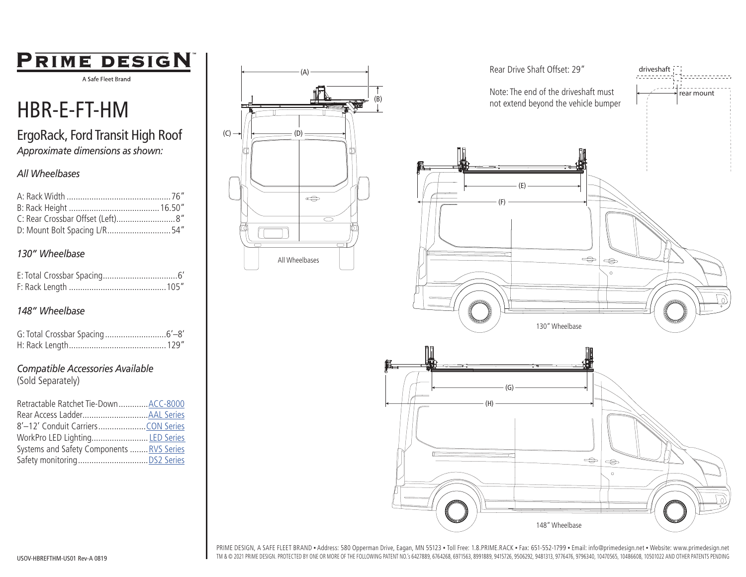## PRIME DESIGN

A Safe Fleet Brand

## HBR-E-FT-HM

## ErgoRack, Ford Transit High Roof *Approximate dimensions as shown:*

### *All Wheelbases*

| D: Mount Bolt Spacing L/R54" |  |
|------------------------------|--|

## *130" Wheelbase*

## *148" Wheelbase*

#### *Compatible Accessories Available*

(Sold Separately)

| Retractable Ratchet Tie-DownACC-8000      |  |
|-------------------------------------------|--|
|                                           |  |
|                                           |  |
| WorkPro LED Lighting LED Series           |  |
| Systems and Safety Components  RVS Series |  |
|                                           |  |





PRIME DESIGN, A SAFE FLEET BRAND ▪ Address: 580 Opperman Drive, Eagan, MN 55123 ▪ Toll Free: 1.8.PRIME.RACK ▪ Fax: 651-552-1799 ▪ Email: info@primedesign.net ▪ Website: www.primedesign.net TM & © 2021 PRIME DESIGN. PROTECTED BY ONE OR MORE OF THE FOLLOWING PATENT NO.'s 6427889, 6764268, 6971563, 8991889, 9415726, 9506292, 9481313, 9776476, 9796340, 10470565, 10486608, 10501022 AND OTHER PATENTS PENDING